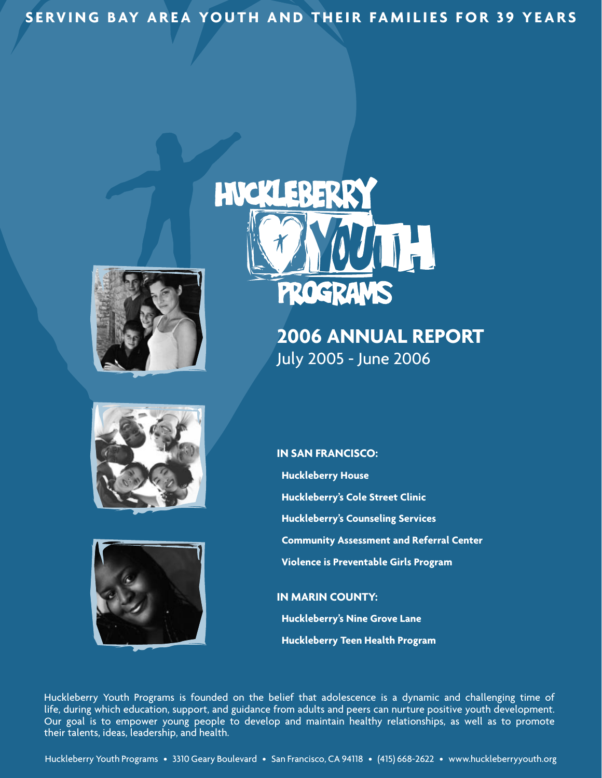**SERVING BAY AREA YOUTH AND THEIR FAMILIES FOR 39 YEARS** 





### **2006 Annual Report** July 2005 - June 2006





**In San Francisco: Huckleberry House Huckleberry's Cole Street Clinic Huckleberry's Counseling Services Community Assessment and Referral Center Violence is Preventable Girls Program**

**In Marin County: Huckleberry's Nine Grove Lane Huckleberry Teen Health Program**

Huckleberry Youth Programs is founded on the belief that adolescence is a dynamic and challenging time of life, during which education, support, and guidance from adults and peers can nurture positive youth development. Our goal is to empower young people to develop and maintain healthy relationships, as well as to promote their talents, ideas, leadership, and health.

Huckleberry Youth Programs • 3310 Geary Boulevard • San Francisco, CA 94118 • (415) 668-2622 • www.huckleberryyouth.org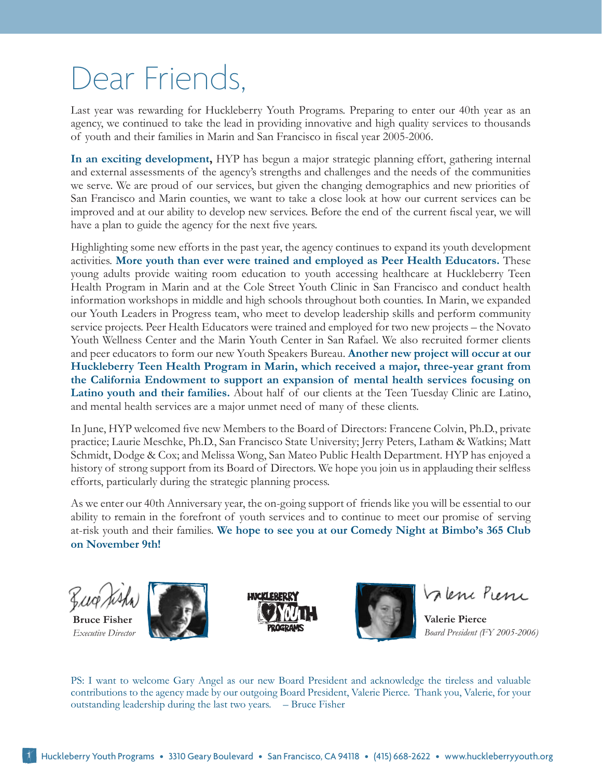# Dear Friends,

Last year was rewarding for Huckleberry Youth Programs. Preparing to enter our 40th year as an agency, we continued to take the lead in providing innovative and high quality services to thousands of youth and their families in Marin and San Francisco in fiscal year 2005-2006.

**In an exciting development,** HYP has begun a major strategic planning effort, gathering internal and external assessments of the agency's strengths and challenges and the needs of the communities we serve. We are proud of our services, but given the changing demographics and new priorities of San Francisco and Marin counties, we want to take a close look at how our current services can be improved and at our ability to develop new services. Before the end of the current fiscal year, we will have a plan to guide the agency for the next five years.

Highlighting some new efforts in the past year, the agency continues to expand its youth development activities. **More youth than ever were trained and employed as Peer Health Educators.** These young adults provide waiting room education to youth accessing healthcare at Huckleberry Teen Health Program in Marin and at the Cole Street Youth Clinic in San Francisco and conduct health information workshops in middle and high schools throughout both counties. In Marin, we expanded our Youth Leaders in Progress team, who meet to develop leadership skills and perform community service projects. Peer Health Educators were trained and employed for two new projects – the Novato Youth Wellness Center and the Marin Youth Center in San Rafael. We also recruited former clients and peer educators to form our new Youth Speakers Bureau. **Another new project will occur at our Huckleberry Teen Health Program in Marin, which received a major, three-year grant from the California Endowment to support an expansion of mental health services focusing on Latino youth and their families.** About half of our clients at the Teen Tuesday Clinic are Latino, and mental health services are a major unmet need of many of these clients.

In June, HYP welcomed five new Members to the Board of Directors: Francene Colvin, Ph.D., private practice; Laurie Meschke, Ph.D., San Francisco State University; Jerry Peters, Latham & Watkins; Matt Schmidt, Dodge & Cox; and Melissa Wong, San Mateo Public Health Department. HYP has enjoyed a history of strong support from its Board of Directors. We hope you join us in applauding their selfless efforts, particularly during the strategic planning process.

As we enter our 40th Anniversary year, the on-going support of friends like you will be essential to our ability to remain in the forefront of youth services and to continue to meet our promise of serving at-risk youth and their families. **We hope to see you at our Comedy Night at Bimbo's 365 Club on November 9th!** 



**Bruce Fisher** *Executive Director*







Valence Pierre

**Valerie Pierce** *Board President (FY 2005-2006)*

PS: I want to welcome Gary Angel as our new Board President and acknowledge the tireless and valuable contributions to the agency made by our outgoing Board President, Valerie Pierce. Thank you, Valerie, for your outstanding leadership during the last two years. – Bruce Fisher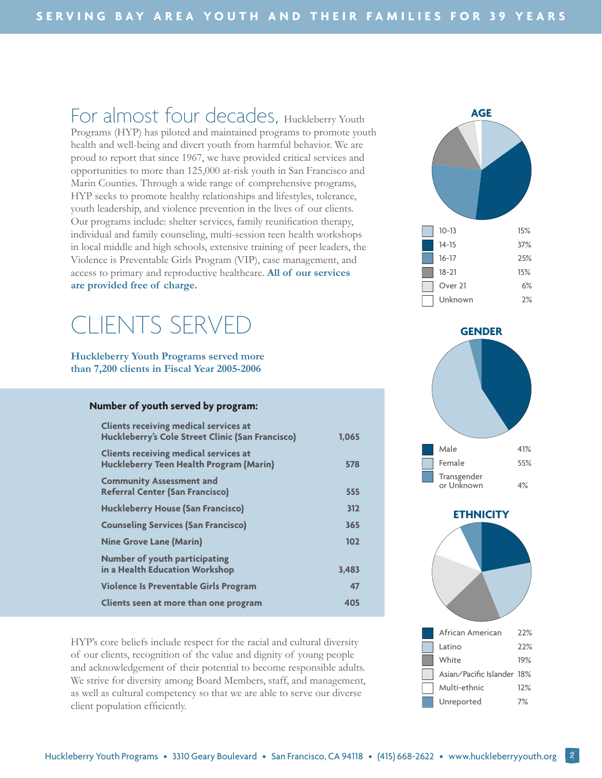For almost four decades, Huckleberry Youth Programs (HYP) has piloted and maintained programs to promote youth health and well-being and divert youth from harmful behavior. We are proud to report that since 1967, we have provided critical services and opportunities to more than 125,000 at-risk youth in San Francisco and Marin Counties. Through a wide range of comprehensive programs, HYP seeks to promote healthy relationships and lifestyles, tolerance, youth leadership, and violence prevention in the lives of our clients. Our programs include: shelter services, family reunification therapy, individual and family counseling, multi-session teen health workshops in local middle and high schools, extensive training of peer leaders, the Violence is Preventable Girls Program (VIP), case management, and access to primary and reproductive healthcare. **All of our services are provided free of charge.**

# CLIENTS SERVED

**Huckleberry Youth Programs served more than 7,200 clients in Fiscal Year 2005-2006**

#### **Number of youth served by program:**

| <b>Clients receiving medical services at</b><br>Huckleberry's Cole Street Clinic (San Francisco) | 1.065 |
|--------------------------------------------------------------------------------------------------|-------|
| <b>Clients receiving medical services at</b><br><b>Huckleberry Teen Health Program (Marin)</b>   | 578   |
| <b>Community Assessment and</b><br><b>Referral Center (San Francisco)</b>                        | 555   |
| <b>Huckleberry House (San Francisco)</b>                                                         | 312   |
| <b>Counseling Services (San Francisco)</b>                                                       | 365   |
| <b>Nine Grove Lane (Marin)</b>                                                                   | 102   |
| <b>Number of youth participating</b><br>in a Health Education Workshop                           | 3,483 |
| Violence Is Preventable Girls Program                                                            | 47    |
| Clients seen at more than one program                                                            | 405   |

HYP's core beliefs include respect for the racial and cultural diversity of our clients, recognition of the value and dignity of young people and acknowledgement of their potential to become responsible adults. We strive for diversity among Board Members, staff, and management, as well as cultural competency so that we are able to serve our diverse client population efficiently.





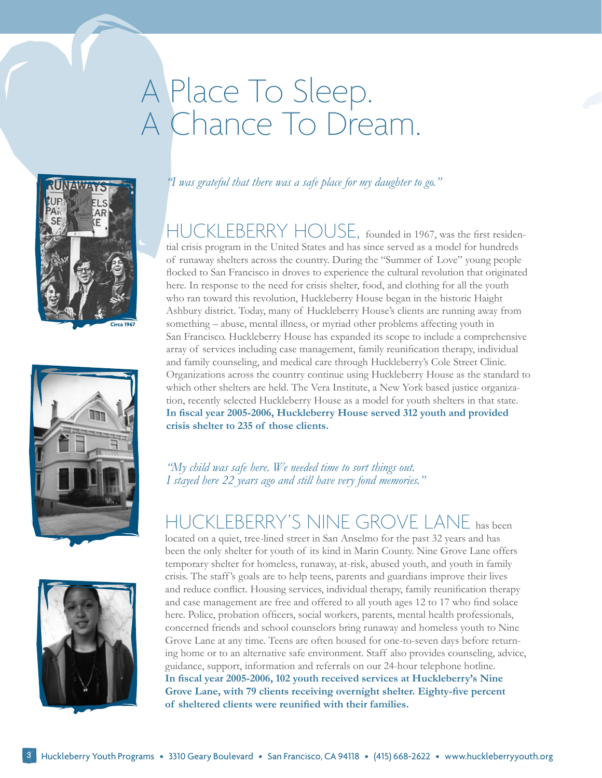# A Place To Sleep. A Chance To Dream.







*"I was grateful that there was a safe place for my daughter to go."*

HUCKLEBERRY HOUSE, founded in 1967, was the first residential crisis program in the United States and has since served as a model for hundreds of runaway shelters across the country. During the "Summer of Love" young people flocked to San Francisco in droves to experience the cultural revolution that originated here. In response to the need for crisis shelter, food, and clothing for all the youth who ran toward this revolution, Huckleberry House began in the historic Haight Ashbury district. Today, many of Huckleberry House's clients are running away from something – abuse, mental illness, or myriad other problems affecting youth in San Francisco. Huckleberry House has expanded its scope to include a comprehensive array of services including case management, family reunification therapy, individual and family counseling, and medical care through Huckleberry's Cole Street Clinic. Organizations across the country continue using Huckleberry House as the standard to which other shelters are held. The Vera Institute, a New York based justice organization, recently selected Huckleberry House as a model for youth shelters in that state. **In fiscal year 2005-2006, Huckleberry House served 312 youth and provided crisis shelter to 235 of those clients.** 

*"My child was safe here. We needed time to sort things out. I stayed here 22 years ago and still have very fond memories."*

HUCKLEBERRY'S NINE GROVE LANE has been located on a quiet, tree-lined street in San Anselmo for the past 32 years and has been the only shelter for youth of its kind in Marin County. Nine Grove Lane offers temporary shelter for homeless, runaway, at-risk, abused youth, and youth in family crisis. The staff 's goals are to help teens, parents and guardians improve their lives and reduce conflict. Housing services, individual therapy, family reunification therapy and case management are free and offered to all youth ages 12 to 17 who find solace here. Police, probation officers, social workers, parents, mental health professionals, concerned friends and school counselors bring runaway and homeless youth to Nine Grove Lane at any time. Teens are often housed for one-to-seven days before returning home or to an alternative safe environment. Staff also provides counseling, advice, guidance, support, information and referrals on our 24-hour telephone hotline. **In fiscal year 2005-2006, 102 youth received services at Huckleberry's Nine Grove Lane, with 79 clients receiving overnight shelter. Eighty-five percent of sheltered clients were reunified with their families.**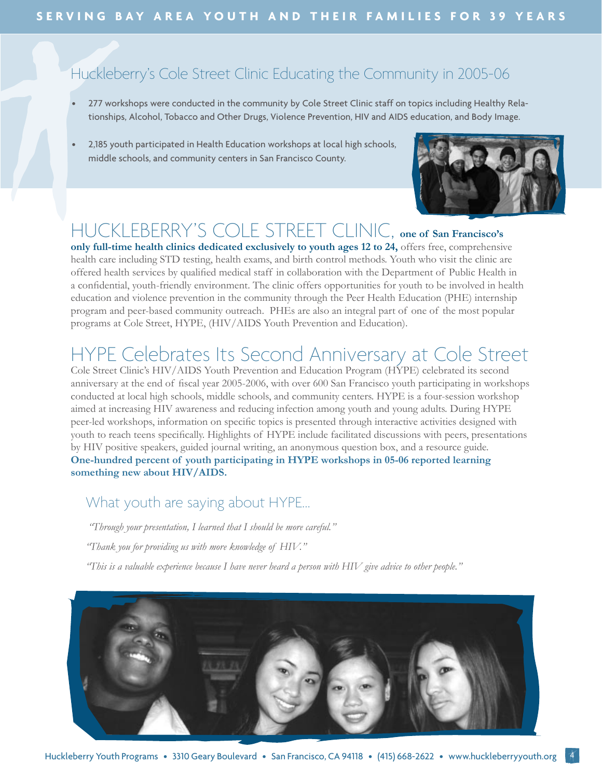### Huckleberry's Cole Street Clinic Educating the Community in 2005-06

- 277 workshops were conducted in the community by Cole Street Clinic staff on topics including Healthy Relationships, Alcohol, Tobacco and Other Drugs, Violence Prevention, HIV and AIDS education, and Body Image.
- 2,185 youth participated in Health Education workshops at local high schools, middle schools, and community centers in San Francisco County.



### HUCKLEBERRY'S COLE STREET CLINIC, **one of San Francisco's**

**only full-time health clinics dedicated exclusively to youth ages 12 to 24,** offers free, comprehensive health care including STD testing, health exams, and birth control methods. Youth who visit the clinic are offered health services by qualified medical staff in collaboration with the Department of Public Health in a confidential, youth-friendly environment. The clinic offers opportunities for youth to be involved in health education and violence prevention in the community through the Peer Health Education (PHE) internship program and peer-based community outreach. PHEs are also an integral part of one of the most popular programs at Cole Street, HYPE, (HIV/AIDS Youth Prevention and Education).

## HYPE Celebrates Its Second Anniversary at Cole Street

Cole Street Clinic's HIV/AIDS Youth Prevention and Education Program (HYPE) celebrated its second anniversary at the end of fiscal year 2005-2006, with over 600 San Francisco youth participating in workshops conducted at local high schools, middle schools, and community centers. HYPE is a four-session workshop aimed at increasing HIV awareness and reducing infection among youth and young adults. During HYPE peer-led workshops, information on specific topics is presented through interactive activities designed with youth to reach teens specifically. Highlights of HYPE include facilitated discussions with peers, presentations by HIV positive speakers, guided journal writing, an anonymous question box, and a resource guide. **One-hundred percent of youth participating in HYPE workshops in 05-06 reported learning something new about HIV/AIDS.**

### What youth are saying about HYPE…

 *"Through your presentation, I learned that I should be more careful."*

*"Thank you for providing us with more knowledge of HIV."*

*"This is a valuable experience because I have never heard a person with HIV give advice to other people."*

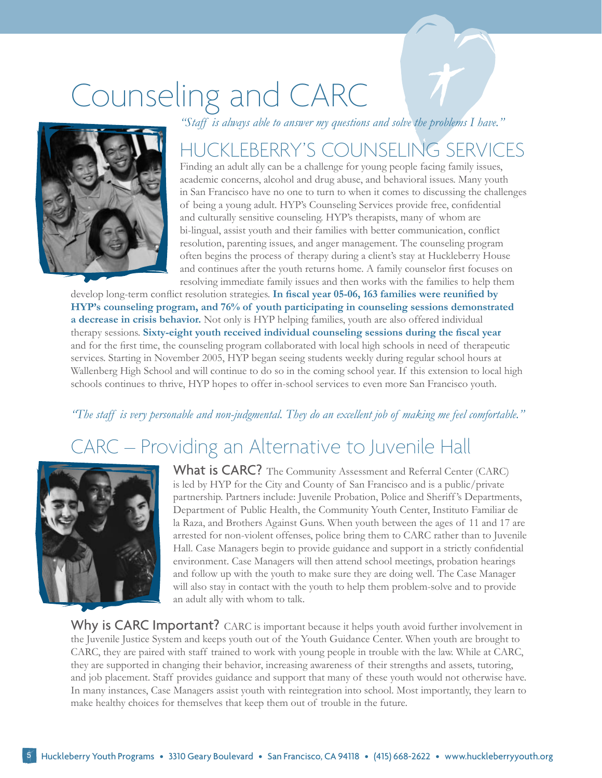# Counseling and CARC

*"Staff is always able to answer my questions and solve the problems I have."*



## HUCKLEBERRY'S COUNSELING SERVICES

Finding an adult ally can be a challenge for young people facing family issues, academic concerns, alcohol and drug abuse, and behavioral issues. Many youth in San Francisco have no one to turn to when it comes to discussing the challenges of being a young adult. HYP's Counseling Services provide free, confidential and culturally sensitive counseling. HYP's therapists, many of whom are bi-lingual, assist youth and their families with better communication, conflict resolution, parenting issues, and anger management. The counseling program often begins the process of therapy during a client's stay at Huckleberry House and continues after the youth returns home. A family counselor first focuses on resolving immediate family issues and then works with the families to help them

develop long-term conflict resolution strategies. **In fiscal year 05-06, 163 families were reunified by HYP's counseling program, and 76% of youth participating in counseling sessions demonstrated a decrease in crisis behavior.** Not only is HYP helping families, youth are also offered individual therapy sessions. **Sixty-eight youth received individual counseling sessions during the fiscal year** and for the first time, the counseling program collaborated with local high schools in need of therapeutic services. Starting in November 2005, HYP began seeing students weekly during regular school hours at Wallenberg High School and will continue to do so in the coming school year. If this extension to local high schools continues to thrive, HYP hopes to offer in-school services to even more San Francisco youth.

### *"The staff is very personable and non-judgmental. They do an excellent job of making me feel comfortable."*

## CARC – Providing an Alternative to Juvenile Hall



What is CARC? The Community Assessment and Referral Center (CARC) is led by HYP for the City and County of San Francisco and is a public/private partnership. Partners include: Juvenile Probation, Police and Sheriff 's Departments, Department of Public Health, the Community Youth Center, Instituto Familiar de la Raza, and Brothers Against Guns. When youth between the ages of 11 and 17 are arrested for non-violent offenses, police bring them to CARC rather than to Juvenile Hall. Case Managers begin to provide guidance and support in a strictly confidential environment. Case Managers will then attend school meetings, probation hearings and follow up with the youth to make sure they are doing well. The Case Manager will also stay in contact with the youth to help them problem-solve and to provide an adult ally with whom to talk.

Why is CARC Important? CARC is important because it helps youth avoid further involvement in the Juvenile Justice System and keeps youth out of the Youth Guidance Center. When youth are brought to CARC, they are paired with staff trained to work with young people in trouble with the law. While at CARC, they are supported in changing their behavior, increasing awareness of their strengths and assets, tutoring, and job placement. Staff provides guidance and support that many of these youth would not otherwise have. In many instances, Case Managers assist youth with reintegration into school. Most importantly, they learn to make healthy choices for themselves that keep them out of trouble in the future.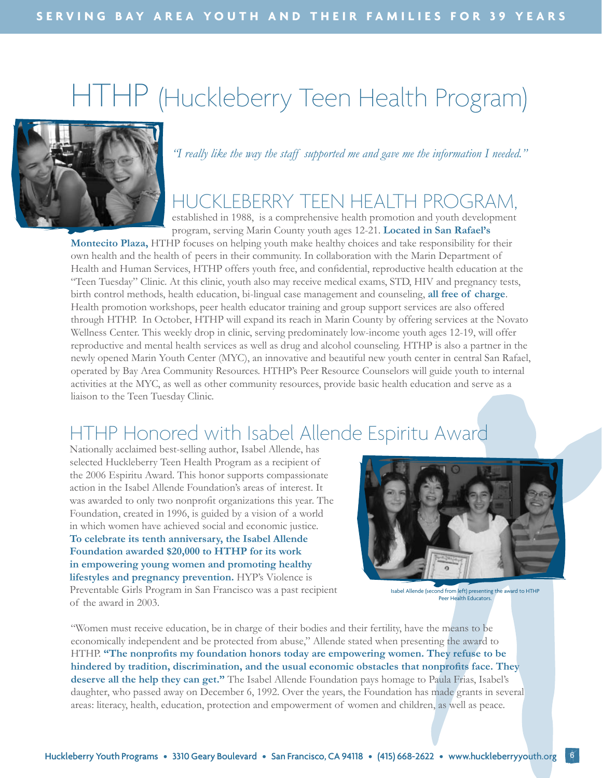# HTHP (Huckleberry Teen Health Program)



*"I really like the way the staff supported me and gave me the information I needed."*

## HUCKLEBERRY TEEN HEALTH PROGRAM,

established in 1988, is a comprehensive health promotion and youth development program, serving Marin County youth ages 12-21. **Located in San Rafael's** 

**Montecito Plaza,** HTHP focuses on helping youth make healthy choices and take responsibility for their own health and the health of peers in their community. In collaboration with the Marin Department of Health and Human Services, HTHP offers youth free, and confidential, reproductive health education at the "Teen Tuesday" Clinic. At this clinic, youth also may receive medical exams, STD, HIV and pregnancy tests, birth control methods, health education, bi-lingual case management and counseling, **all free of charge**. Health promotion workshops, peer health educator training and group support services are also offered through HTHP. In October, HTHP will expand its reach in Marin County by offering services at the Novato Wellness Center. This weekly drop in clinic, serving predominately low-income youth ages 12-19, will offer reproductive and mental health services as well as drug and alcohol counseling. HTHP is also a partner in the newly opened Marin Youth Center (MYC), an innovative and beautiful new youth center in central San Rafael, operated by Bay Area Community Resources. HTHP's Peer Resource Counselors will guide youth to internal activities at the MYC, as well as other community resources, provide basic health education and serve as a liaison to the Teen Tuesday Clinic.

## HTHP Honored with Isabel Allende Espiritu Award

Nationally acclaimed best-selling author, Isabel Allende, has selected Huckleberry Teen Health Program as a recipient of the 2006 Espiritu Award. This honor supports compassionate action in the Isabel Allende Foundation's areas of interest. It was awarded to only two nonprofit organizations this year. The Foundation, created in 1996, is guided by a vision of a world in which women have achieved social and economic justice. **To celebrate its tenth anniversary, the Isabel Allende Foundation awarded \$20,000 to HTHP for its work in empowering young women and promoting healthy lifestyles and pregnancy prevention.** HYP's Violence is Preventable Girls Program in San Francisco was a past recipient of the award in 2003.



Isabel Allende (second from left) presenting the award to HTHP Peer Health Educators.

"Women must receive education, be in charge of their bodies and their fertility, have the means to be economically independent and be protected from abuse," Allende stated when presenting the award to HTHP. **"The nonprofits my foundation honors today are empowering women. They refuse to be hindered by tradition, discrimination, and the usual economic obstacles that nonprofits face. They deserve all the help they can get."** The Isabel Allende Foundation pays homage to Paula Frias, Isabel's daughter, who passed away on December 6, 1992. Over the years, the Foundation has made grants in several areas: literacy, health, education, protection and empowerment of women and children, as well as peace.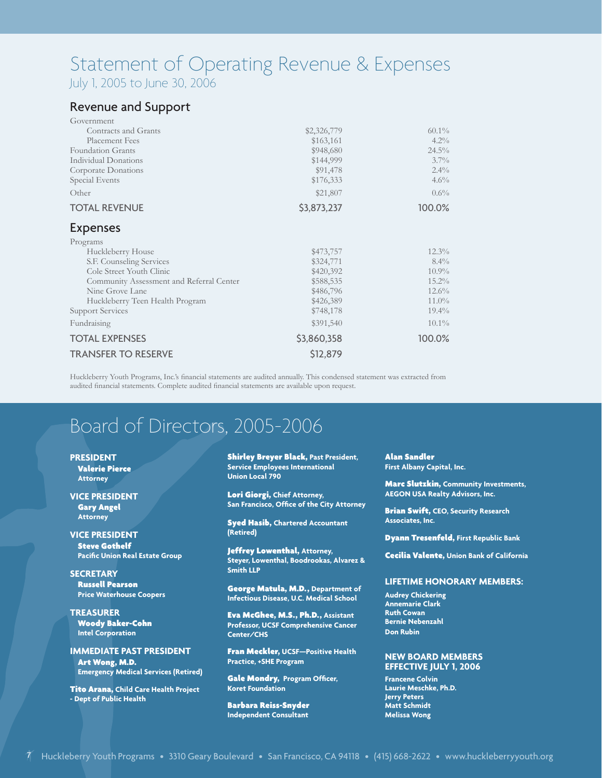### Statement of Operating Revenue & Expenses July 1, 2005 to June 30, 2006

### Revenue and Support

| Government                               |             |          |
|------------------------------------------|-------------|----------|
| Contracts and Grants                     | \$2,326,779 | $60.1\%$ |
| Placement Fees                           | \$163,161   | $4.2\%$  |
| Foundation Grants                        | \$948,680   | $24.5\%$ |
| Individual Donations                     | \$144,999   | $3.7\%$  |
| Corporate Donations                      | \$91,478    | $2.4\%$  |
| Special Events                           | \$176,333   | 4.6%     |
| Other                                    | \$21,807    | $0.6\%$  |
| <b>TOTAL REVENUE</b>                     | \$3,873,237 | 100.0%   |
| <b>Expenses</b>                          |             |          |
| Programs                                 |             |          |
| Huckleberry House                        | \$473,757   | $12.3\%$ |
| S.F. Counseling Services                 | \$324,771   | $8.4\%$  |
| Cole Street Youth Clinic                 | \$420,392   | $10.9\%$ |
| Community Assessment and Referral Center | \$588,535   | 15.2%    |
| Nine Grove Lane                          | \$486,796   | 12.6%    |
| Huckleberry Teen Health Program          | \$426,389   | $11.0\%$ |
| <b>Support Services</b>                  | \$748,178   | $19.4\%$ |
| Fundraising                              | \$391,540   | $10.1\%$ |
| <b>TOTAL EXPENSES</b>                    | \$3,860,358 | 100.0%   |
| <b>TRANSFER TO RESERVE</b>               | \$12,879    |          |

Huckleberry Youth Programs, Inc.'s financial statements are audited annually. This condensed statement was extracted from audited financial statements. Complete audited financial statements are available upon request.

## Board of Directors, 2005-2006

**PRESIDENT** Valerie Pierce **Attorney**

**VICE PRESIDENT** Gary Angel **Attorney**

**VICE PRESIDENT** Steve Gothelf  **Pacific Union Real Estate Group**

**SECRETARY** Russell Pearson  **Price Waterhouse Coopers** 

**TREASURER** Woody Baker-Cohn  **Intel Corporation**

**IMMEDIATE PAST PRESIDENT** Art Wong, M.D.  **Emergency Medical Services (Retired)**

Tito Arana, **Child Care Health Project - Dept of Public Health**

Shirley Breyer Black, **Past President, Service Employees International Union Local 790**

Lori Giorgi, **Chief Attorney, San Francisco, Office of the City Attorney**

Syed Hasib, **Chartered Accountant (Retired)** 

Jeffrey Lowenthal, **Attorney, Steyer, Lowenthal, Boodrookas, Alvarez & Smith LLP**

George Matula, M.D., **Department of Infectious Disease, U.C. Medical School**

Eva McGhee, M.S., Ph.D., **Assistant Professor, UCSF Comprehensive Cancer Center/CHS** 

Fran Meckler, **UCSF—Positive Health Practice, +SHE Program**

Gale Mondry, **Program Officer, Koret Foundation**

Barbara Reiss-Snyder **Independent Consultant**

Alan Sandler **First Albany Capital, Inc.**

Marc Slutzkin, **Community Investments, AEGON USA Realty Advisors, Inc.** 

Brian Swift, **CEO, Security Research Associates, Inc.** 

Dyann Tresenfeld, **First Republic Bank**

Cecilia Valente, **Union Bank of California**

#### **Lifetime Honorary Members:**

**Audrey Chickering Annemarie Clark Ruth Cowan Bernie Nebenzahl Don Rubin**

#### **New Board Members Effective July 1, 2006**

**Francene Colvin Laurie Meschke, Ph.D. Jerry Peters Matt Schmidt Melissa Wong**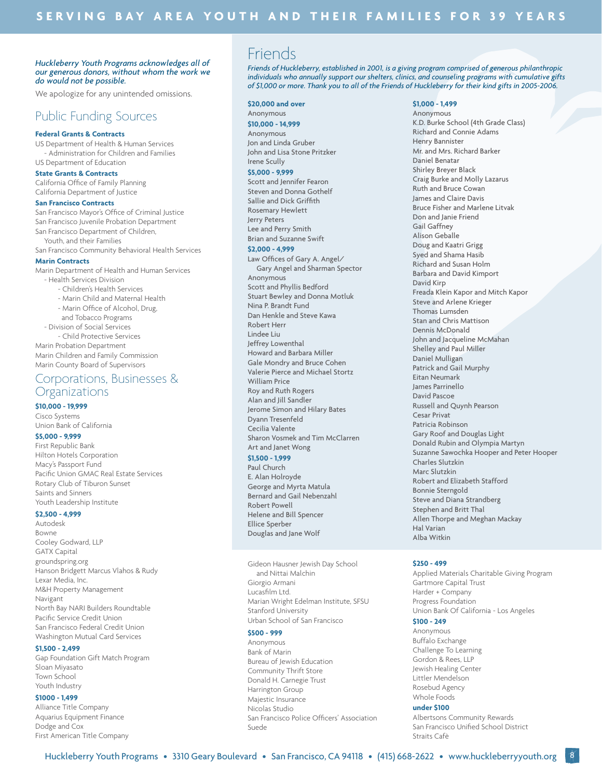#### *Huckleberry Youth Programs acknowledges all of our generous donors, without whom the work we do would not be possible.*

We apologize for any unintended omissions.

### Public Funding Sources

#### **Federal Grants & Contracts**

US Department of Health & Human Services - Administration for Children and Families US Department of Education

#### **State Grants & Contracts**

California Office of Family Planning California Department of Justice

#### **San Francisco Contracts**

San Francisco Mayor's Office of Criminal Justice San Francisco Juvenile Probation Department San Francisco Department of Children, Youth, and their Families San Francisco Community Behavioral Health Services

#### **Marin Contracts**

Marin Department of Health and Human Services

- Health Services Division - Children's Health Services
	- Marin Child and Maternal Health
	- Marin Office of Alcohol, Drug,
	- and Tobacco Programs
- Division of Social Services

- Child Protective Services Marin Probation Department Marin Children and Family Commission Marin County Board of Supervisors

### Corporations, Businesses & Organizations

#### **\$10,000 - 19,999**

Cisco Systems Union Bank of California

#### **\$5,000 - 9,999**

First Republic Bank Hilton Hotels Corporation Macy's Passport Fund Pacific Union GMAC Real Estate Services Rotary Club of Tiburon Sunset Saints and Sinners Youth Leadership Institute

#### **\$2,500 - 4,999**

Autodesk Bowne Cooley Godward, LLP GATX Capital groundspring.org Hanson Bridgett Marcus Vlahos & Rudy Lexar Media, Inc. M&H Property Management Navigant North Bay NARI Builders Roundtable Pacific Service Credit Union San Francisco Federal Credit Union Washington Mutual Card Services

#### **\$1,500 - 2,499**

Gap Foundation Gift Match Program Sloan Miyasato Town School Youth Industry

#### **\$1000 - 1,499**

Alliance Title Company Aquarius Equipment Finance Dodge and Cox First American Title Company

### Friends

*Friends of Huckleberry, established in 2001, is a giving program comprised of generous philanthropic individuals who annually support our shelters, clinics, and counseling programs with cumulative gifts of \$1,000 or more. Thank you to all of the Friends of Huckleberry for their kind gifts in 2005-2006.*

#### **\$20,000 and over**

Anonymous

**\$10,000 - 14,999** Anonymous Jon and Linda Gruber John and Lisa Stone Pritzker Irene Scully

#### **\$5,000 - 9,999**

Scott and Jennifer Fearon Steven and Donna Gothelf Sallie and Dick Griffith Rosemary Hewlett Jerry Peters Lee and Perry Smith Brian and Suzanne Swift

#### **\$2,000 - 4,999**

Law Offices of Gary A. Angel/ Gary Angel and Sharman Spector Anonymous Scott and Phyllis Bedford Stuart Bewley and Donna Motluk Nina P. Brandt Fund Dan Henkle and Steve Kawa Robert Herr Lindee Liu Jeffrey Lowenthal Howard and Barbara Miller Gale Mondry and Bruce Cohen Valerie Pierce and Michael Stortz William Price Roy and Ruth Rogers Alan and Jill Sandler Jerome Simon and Hilary Bates Dyann Tresenfeld Cecilia Valente Sharon Vosmek and Tim McClarren Art and Janet Wong

#### **\$1,500 - 1,999**

Paul Church E. Alan Holroyde George and Myrta Matula Bernard and Gail Nebenzahl Robert Powell Helene and Bill Spencer Ellice Sperber Douglas and Jane Wolf

Gideon Hausner Jewish Day School and Nittai Malchin Giorgio Armani Lucasfilm Ltd. Marian Wright Edelman Institute, SFSU Stanford University Urban School of San Francisco

#### **\$500 - 999**

Anonymous Bank of Marin Bureau of Jewish Education Community Thrift Store Donald H. Carnegie Trust Harrington Group Majestic Insurance Nicolas Studio San Francisco Police Officers' Association Suede

#### **\$1,000 - 1,499**

Anonymous K.D. Burke School (4th Grade Class) Richard and Connie Adams Henry Bannister Mr. and Mrs. Richard Barker Daniel Benatar Shirley Breyer Black Craig Burke and Molly Lazarus Ruth and Bruce Cowan James and Claire Davis Bruce Fisher and Marlene Litvak Don and Janie Friend Gail Gaffney Alison Geballe Doug and Kaatri Grigg Syed and Shama Hasib Richard and Susan Holm Barbara and David Kimport David Kirp Freada Klein Kapor and Mitch Kapor Steve and Arlene Krieger Thomas Lumsden Stan and Chris Mattison Dennis McDonald John and Jacqueline McMahan Shelley and Paul Miller Daniel Mulligan Patrick and Gail Murphy Eitan Neumark James Parrinello David Pascoe Russell and Quynh Pearson Cesar Privat Patricia Robinson Gary Roof and Douglas Light Donald Rubin and Olympia Martyn Suzanne Sawochka Hooper and Peter Hooper Charles Slutzkin Marc Slutzkin Robert and Elizabeth Stafford Bonnie Sterngold Steve and Diana Strandberg Stephen and Britt Thal Allen Thorpe and Meghan Mackay Hal Varian Alba Witkin

#### **\$250 - 499**

Applied Materials Charitable Giving Program Gartmore Capital Trust Harder + Company Progress Foundation Union Bank Of California - Los Angeles

#### **\$100 - 249**

Anonymous Buffalo Exchange Challenge To Learning Gordon & Rees, LLP Jewish Healing Center Littler Mendelson Rosebud Agency Whole Foods

#### **under \$100**

Albertsons Community Rewards San Francisco Unified School District Straits Cafè

8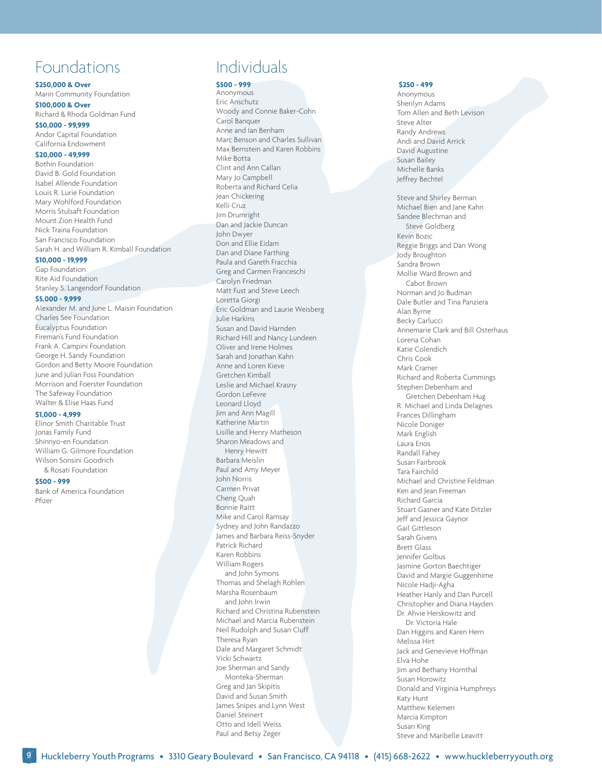### Foundations

**\$250,000 & Over**

Marin Community Foundation

**\$100,000 & Over** Richard & Rhoda Goldman Fund **\$50,000 - 99,999**

Andor Capital Foundation California Endowment

#### **\$20,000 - 49,999**

Bothin Foundation David B. Gold Foundation Isabel Allende Foundation Louis R. Lurie Foundation Mary Wohlford Foundation Morris Stulsaft Foundation Mount Zion Health Fund Nick Traina Foundation San Francisco Foundation Sarah H. and William R. Kimball Foundation

#### **\$10,000 - 19,999**

Gap Foundation Rite Aid Foundation Stanley S. Langendorf Foundation

#### **\$5,000 - 9,999**

Alexander M. and June L. Maisin Foundation Charles See Foundation Eucalyptus Foundation Fireman's Fund Foundation Frank A. Campini Foundation George H. Sandy Foundation Gordon and Betty Moore Foundation June and Julian Foss Foundation Morrison and Foerster Foundation The Safeway Foundation Walter & Elise Haas Fund

#### **\$1,000 - 4,999**

Elinor Smith Charitable Trust Jonas Family Fund Shinnyo-en Foundation William G. Gilmore Foundation Wilson Sonsini Goodrich & Rosati Foundation

#### **\$500 - 999**

Bank of America Foundation Pfizer

### Individuals

#### **\$500 - 999** Anonymous

Eric Anschutz Woody and Connie Baker-Cohn Carol Banquer Anne and Ian Benham Marc Benson and Charles Sullivan Max Bernstein and Karen Robbins Mike Botta Clint and Ann Callan Mary Jo Campbell Roberta and Richard Celia Jean Chickering Kelli Cruz Jim Drumright Dan and Jackie Duncan John Dwyer Don and Ellie Eidam Dan and Diane Farthing Paula and Gareth Fracchia Greg and Carmen Franceschi Carolyn Friedman Matt Fust and Steve Leech Loretta Giorgi Eric Goldman and Laurie Weisberg Julie Harkins Susan and David Harnden Richard Hill and Nancy Lundeen Oliver and Irene Holmes Sarah and Jonathan Kahn Anne and Loren Kieve Gretchen Kimball Leslie and Michael Krasny Gordon LeFevre Leonard Lloyd Jim and Ann Magill Katherine Martin Lisille and Henry Matheson Sharon Meadows and Henry Hewitt Barbara Meislin Paul and Amy Meyer John Norris Carmen Privat Cheng Quah Bonnie Raitt Mike and Carol Ramsay Sydney and John Randazzo James and Barbara Reiss-Snyder Patrick Richard Karen Robbins William Rogers and John Symons Thomas and Shelagh Rohlen Marsha Rosenbaum and John Irwin Richard and Christina Rubenstein Michael and Marcia Rubenstein Neil Rudolph and Susan Cluff Theresa Ryan Dale and Margaret Schmidt Vicki Schwartz Joe Sherman and Sandy Monteka-Sherman Greg and Jan Skipitis David and Susan Smith James Snipes and Lynn West Daniel Steinert Otto and Idell Weiss Paul and Betsy Zeger

#### **\$250 - 499**

Anonymous Sherilyn Adams Tom Allen and Beth Levison Steve Alter Randy Andrews Andi and David Arrick David Augustine Susan Bailey Michelle Banks Jeffrey Bechtel

Steve and Shirley Berman

Michael Bien and Jane Kahn Sandee Blechman and Steve Goldberg Kevin Bozic Reggie Briggs and Dan Wong Jody Broughton Sandra Brown Mollie Ward Brown and Cabot Brown Norman and Jo Budman Dale Butler and Tina Panziera Alan Byrne Becky Carlucci Annemarie Clark and Bill Osterhaus Lorena Cohan Katie Colendich Chris Cook Mark Cramer Richard and Roberta Cummings Stephen Debenham and Gretchen Debenham Hug R. Michael and Linda Delagnes Frances Dillingham Nicole Doniger Mark English Laura Enos Randall Fahey Susan Fairbrook Tara Fairchild Michael and Christine Feldman Ken and Jean Freeman Richard Garcia Stuart Gasner and Kate Ditzler Jeff and Jessica Gaynor Gail Gittleson Sarah Givens Brett Glass Jennifer Golbus Jasmine Gorton Baechtiger David and Margie Guggenhime Nicole Hadji-Agha Heather Hanly and Dan Purcell Christopher and Diana Hayden Dr. Ahvie Herskowitz and Dr. Victoria Hale Dan Higgins and Karen Hern Melissa Hirt Jack and Genevieve Hoffman Elva Hohe Jim and Bethany Hornthal Susan Horowitz Donald and Virginia Humphreys Katy Hunt Matthew Kelemen Marcia Kimpton Susan King Steve and Maribelle Leavitt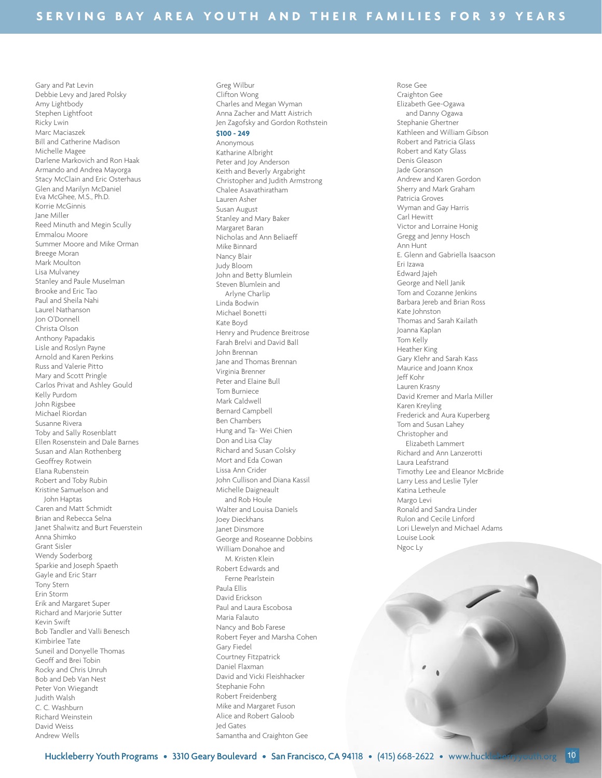Gary and Pat Levin Debbie Levy and Jared Polsky Amy Lightbody Stephen Lightfoot Ricky Lwin Marc Maciaszek Bill and Catherine Madison Michelle Magee Darlene Markovich and Ron Haak Armando and Andrea Mayorga Stacy McClain and Eric Osterhaus Glen and Marilyn McDaniel Eva McGhee, M.S., Ph.D. Korrie McGinnis Jane Miller Reed Minuth and Megin Scully Emmalou Moore Summer Moore and Mike Orman Breege Moran Mark Moulton Lisa Mulvaney Stanley and Paule Muselman Brooke and Eric Tao Paul and Sheila Nahi Laurel Nathanson Jon O'Donnell Christa Olson Anthony Papadakis Lisle and Roslyn Payne Arnold and Karen Perkins Russ and Valerie Pitto Mary and Scott Pringle Carlos Privat and Ashley Gould Kelly Purdom John Rigsbee Michael Riordan Susanne Rivera Toby and Sally Rosenblatt Ellen Rosenstein and Dale Barnes Susan and Alan Rothenberg Geoffrey Rotwein Elana Rubenstein Robert and Toby Rubin Kristine Samuelson and John Haptas Caren and Matt Schmidt Brian and Rebecca Selna Janet Shalwitz and Burt Feuerstein Anna Shimko Grant Sisler Wendy Soderborg Sparkie and Joseph Spaeth Gayle and Eric Starr Tony Stern Erin Storm Erik and Margaret Super Richard and Marjorie Sutter Kevin Swift Bob Tandler and Valli Benesch Kimbirlee Tate Suneil and Donyelle Thomas Geoff and Brei Tobin Rocky and Chris Unruh Bob and Deb Van Nest Peter Von Wiegandt Judith Walsh C. C. Washburn Richard Weinstein David Weiss Andrew Wells

Greg Wilbur Clifton Wong Charles and Megan Wyman Anna Zacher and Matt Aistrich Jen Zagofsky and Gordon Rothstein **\$100 - 249** Anonymous Katharine Albright Peter and Joy Anderson Keith and Beverly Argabright Christopher and Judith Armstrong Chalee Asavathiratham Lauren Asher Susan August Stanley and Mary Baker Margaret Baran Nicholas and Ann Beliaeff Mike Binnard Nancy Blair Judy Bloom John and Betty Blumlein Steven Blumlein and Arlyne Charlip Linda Bodwin Michael Bonetti Kate Boyd Henry and Prudence Breitrose Farah Brelvi and David Ball John Brennan Jane and Thomas Brennan Virginia Brenner Peter and Elaine Bull Tom Burniece Mark Caldwell Bernard Campbell Ben Chambers Hung and Ta- Wei Chien Don and Lisa Clay Richard and Susan Colsky Mort and Eda Cowan Lissa Ann Crider John Cullison and Diana Kassil Michelle Daigneault and Rob Houle Walter and Louisa Daniels Joey Dieckhans Janet Dinsmore George and Roseanne Dobbins William Donahoe and M. Kristen Klein Robert Edwards and Ferne Pearlstein Paula Ellis David Erickson Paul and Laura Escobosa Maria Falauto Nancy and Bob Farese Robert Feyer and Marsha Cohen Gary Fiedel Courtney Fitzpatrick Daniel Flaxman David and Vicki Fleishhacker Stephanie Fohn Robert Freidenberg Mike and Margaret Fuson Alice and Robert Galoob Jed Gates

Craighton Gee Elizabeth Gee-Ogawa and Danny Ogawa Stephanie Ghertner Kathleen and William Gibson Robert and Patricia Glass Robert and Katy Glass Denis Gleason Jade Goranson Andrew and Karen Gordon Sherry and Mark Graham Patricia Groves Wyman and Gay Harris Carl Hewitt Victor and Lorraine Honig Gregg and Jenny Hosch Ann Hunt E. Glenn and Gabriella Isaacson Eri Izawa Edward Jajeh George and Nell Janik Tom and Cozanne Jenkins Barbara Jereb and Brian Ross Kate Johnston Thomas and Sarah Kailath Joanna Kaplan Tom Kelly Heather King Gary Klehr and Sarah Kass Maurice and Joann Knox Jeff Kohr Lauren Krasny David Kremer and Marla Miller Karen Kreyling Frederick and Aura Kuperberg Tom and Susan Lahey Christopher and Elizabeth Lammert Richard and Ann Lanzerotti Laura Leafstrand Timothy Lee and Eleanor McBride Larry Less and Leslie Tyler Katina Letheule Margo Levi Ronald and Sandra Linder Rulon and Cecile Linford Lori Llewelyn and Michael Adams Louise Look Ngoc Ly

Rose Gee

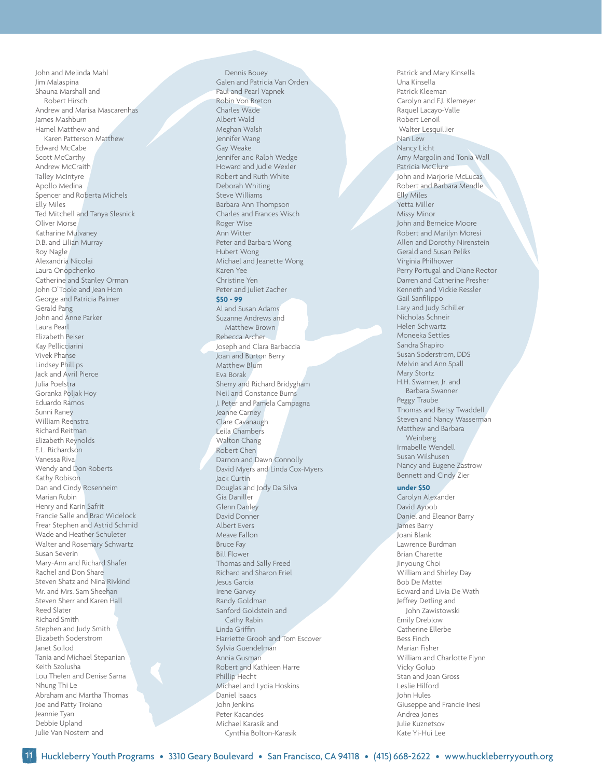John and Melinda Mahl Jim Malaspina Shauna Marshall and Robert Hirsch Andrew and Marisa Mascarenhas James Mashburn Hamel Matthew and Karen Patterson Matthew Edward McCabe Scott McCarthy Andrew McCraith Talley McIntyre Apollo Medina Spencer and Roberta Michels Elly Miles Ted Mitchell and Tanya Slesnick Oliver Morse Katharine Mulvaney D.B. and Lilian Murray Roy Nagle Alexandria Nicolai Laura Onopchenko Catherine and Stanley Orman John O'Toole and Jean Hom George and Patricia Palmer Gerald Pang John and Anne Parker Laura Pearl Elizabeth Peiser Kay Pellicciarini Vivek Phanse Lindsey Phillips Jack and Avril Pierce Julia Poelstra Goranka Poljak Hoy Eduardo Ramos Sunni Raney William Reenstra Richard Reitman Elizabeth Reynolds E.L. Richardson Vanessa Riva Wendy and Don Roberts Kathy Robison Dan and Cindy Rosenheim Marian Rubin Henry and Karin Safrit Francie Salle and Brad Widelock Frear Stephen and Astrid Schmid Wade and Heather Schuleter Walter and Rosemary Schwartz Susan Severin Mary-Ann and Richard Shafer Rachel and Don Share Steven Shatz and Nina Rivkind Mr. and Mrs. Sam Sheehan Steven Sherr and Karen Hall Reed Slater Richard Smith Stephen and Judy Smith Elizabeth Soderstrom Janet Sollod Tania and Michael Stepanian Keith Szolusha Lou Thelen and Denise Sarna Nhung Thi Le Abraham and Martha Thomas Joe and Patty Troiano Jeannie Tyan Debbie Upland Julie Van Nostern and

Dennis Bouey Galen and Patricia Van Orden Paul and Pearl Vapnek Robin Von Breton Charles Wade Albert Wald Meghan Walsh Jennifer Wang Gay Weake Jennifer and Ralph Wedge Howard and Judie Wexler Robert and Ruth White Deborah Whiting Steve Williams Barbara Ann Thompson Charles and Frances Wisch Roger Wise Ann Witter Peter and Barbara Wong Hubert Wong Michael and Jeanette Wong Karen Yee Christine Yen Peter and Juliet Zacher **\$50 - 99** Al and Susan Adams Suzanne Andrews and Matthew Brown Rebecca Archer Joseph and Clara Barbaccia Joan and Burton Berry Matthew Blum Eva Borak Sherry and Richard Bridygham Neil and Constance Burns J. Peter and Pamela Campagna Jeanne Carney Clare Cavanaugh Leila Chambers Walton Chang Robert Chen Darnon and Dawn Connolly David Myers and Linda Cox-Myers Jack Curtin Douglas and Jody Da Silva Gia Daniller Glenn Danley David Donner Albert Evers Meave Fallon Bruce Fay Bill Flower Thomas and Sally Freed Richard and Sharon Friel Jesus Garcia Irene Garvey Randy Goldman Sanford Goldstein and Cathy Rabin Linda Griffin Harriette Grooh and Tom Escover Sylvia Guendelman Annia Gusman Robert and Kathleen Harre Phillip Hecht Michael and Lydia Hoskins Daniel Isaacs John Jenkins Peter Kacandes Michael Karasik and Cynthia Bolton-Karasik

Patrick and Mary Kinsella Una Kinsella Patrick Kleeman Carolyn and F.J. Klemeyer Raquel Lacayo-Valle Robert Lenoil Walter Lesquillier Nan Lew Nancy Licht Amy Margolin and Tonia Wall Patricia McClure John and Marjorie McLucas Robert and Barbara Mendle Elly Miles Yetta Miller Missy Minor John and Berneice Moore Robert and Marilyn Moresi Allen and Dorothy Nirenstein Gerald and Susan Peliks Virginia Philhower Perry Portugal and Diane Rector Darren and Catherine Presher Kenneth and Vickie Ressler Gail Sanfilippo Lary and Judy Schiller Nicholas Schneir Helen Schwartz Moneeka Settles Sandra Shapiro Susan Soderstrom, DDS Melvin and Ann Spall Mary Stortz H.H. Swanner, Jr. and Barbara Swanner Peggy Traube Thomas and Betsy Twaddell Steven and Nancy Wasserman Matthew and Barbara Weinberg Irmabelle Wendell Susan Wilshusen Nancy and Eugene Zastrow Bennett and Cindy Zier **under \$50**

Carolyn Alexander David Ayoob Daniel and Eleanor Barry James Barry Joani Blank Lawrence Burdman Brian Charette Jinyoung Choi William and Shirley Day Bob De Mattei Edward and Livia De Wath Jeffrey Detling and John Zawistowski Emily Dreblow Catherine Ellerbe Bess Finch Marian Fisher William and Charlotte Flynn Vicky Golub Stan and Joan Gross Leslie Hilford John Hules Giuseppe and Francie Inesi Andrea Jones Julie Kuznetsov Kate Yi-Hui Lee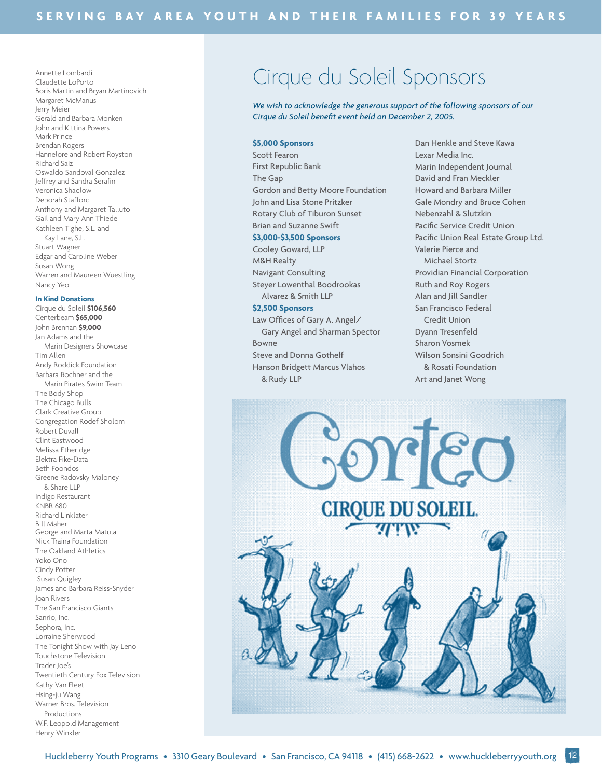Annette Lombardi Claudette LoPorto Boris Martin and Bryan Martinovich Margaret McManus Jerry Meier Gerald and Barbara Monken John and Kittina Powers Mark Prince Brendan Rogers Hannelore and Robert Royston Richard Saiz Oswaldo Sandoval Gonzalez Jeffrey and Sandra Serafin Veronica Shadlow Deborah Stafford Anthony and Margaret Talluto Gail and Mary Ann Thiede Kathleen Tighe, S.L. and Kay Lane, S.L. Stuart Wagner Edgar and Caroline Weber Susan Wong Warren and Maureen Wuestling Nancy Yeo

#### **In Kind Donations**

Cirque du Soleil **\$106,560** Centerbeam **\$65,000** John Brennan **\$9,000** Jan Adams and the Marin Designers Showcase Tim Allen Andy Roddick Foundation Barbara Bochner and the Marin Pirates Swim Team The Body Shop The Chicago Bulls Clark Creative Group Congregation Rodef Sholom Robert Duvall Clint Eastwood Melissa Etheridge Elektra Fike-Data Beth Foondos Greene Radovsky Maloney & Share LLP Indigo Restaurant KNBR 680 Richard Linklater Bill Maher George and Marta Matula Nick Traina Foundation The Oakland Athletics Yoko Ono Cindy Potter Susan Quigley James and Barbara Reiss-Snyder Joan Rivers The San Francisco Giants Sanrio, Inc. Sephora, Inc. Lorraine Sherwood The Tonight Show with Jay Leno Touchstone Television Trader Joe's Twentieth Century Fox Television Kathy Van Fleet Hsing-ju Wang Warner Bros. Television Productions W.F. Leopold Management Henry Winkler

## Cirque du Soleil Sponsors

We wish to acknowledge the generous support of the following sponsors of our *Cirque du Soleil benefit event held on December 2, 2005.* 

#### **\$5,000 Sponsors**

Scott Fearon First Republic Bank The Gap Gordon and Betty Moore Foundation John and Lisa Stone Pritzker Rotary Club of Tiburon Sunset Brian and Suzanne Swift **\$3,000-\$3,500 Sponsors** Cooley Goward, LLP M&H Realty Navigant Consulting

Steyer Lowenthal Boodrookas Alvarez & Smith LLP **\$2,500 Sponsors**

Law Offices of Gary A. Angel/ Gary Angel and Sharman Spector Bowne Steve and Donna Gothelf Hanson Bridgett Marcus Vlahos & Rudy LLP

Dan Henkle and Steve Kawa Lexar Media Inc. Marin Independent Journal David and Fran Meckler Howard and Barbara Miller Gale Mondry and Bruce Cohen Nebenzahl & Slutzkin Pacific Service Credit Union Pacific Union Real Estate Group Ltd. Valerie Pierce and Michael Stortz Providian Financial Corporation Ruth and Roy Rogers Alan and Jill Sandler San Francisco Federal Credit Union Dyann Tresenfeld Sharon Vosmek Wilson Sonsini Goodrich & Rosati Foundation Art and Janet Wong

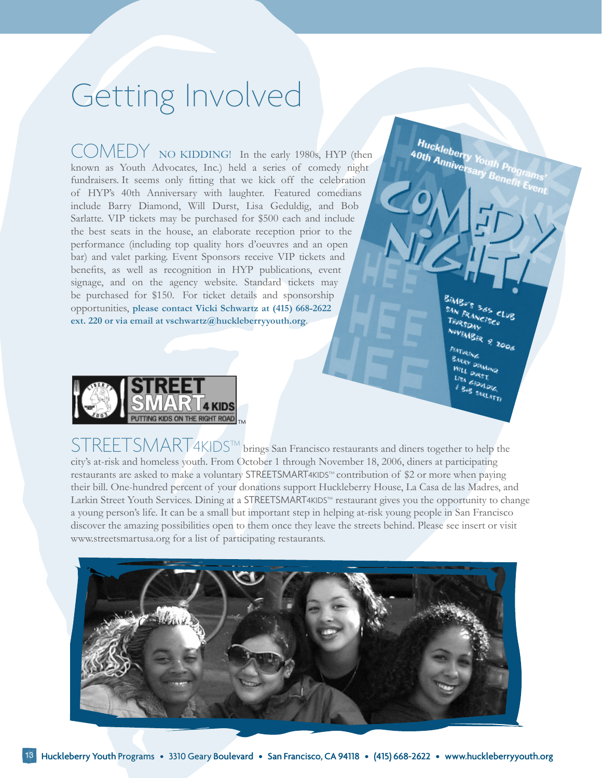# Getting Involved

COMEDY NO KIDDING! In the early 1980s, HYP (then known as Youth Advocates, Inc.) held a series of comedy night fundraisers. It seems only fitting that we kick off the celebration of HYP's 40th Anniversary with laughter. Featured comedians include Barry Diamond, Will Durst, Lisa Geduldig, and Bob Sarlatte. VIP tickets may be purchased for \$500 each and include the best seats in the house, an elaborate reception prior to the performance (including top quality hors d'oeuvres and an open bar) and valet parking. Event Sponsors receive VIP tickets and benefits, as well as recognition in HYP publications, event signage, and on the agency website. Standard tickets may be purchased for \$150. For ticket details and sponsorship opportunities, **please contact Vicki Schwartz at (415) 668-2622 ext. 220 or via email at vschwartz@huckleberryyouth.org**.

HURSDAY **OVEMBER**<sub>9</sub>

Huckleberry Youth Programs

**VILL DIAMO**<br>JSA PURST. **EEDVLDIE B** SARLATTI



STREETSMART4KIDS™ brings San Francisco restaurants and diners together to help the city's at-risk and homeless youth. From October 1 through November 18, 2006, diners at participating restaurants are asked to make a voluntary STREETSMART4KIDS™ contribution of \$2 or more when paying their bill. One-hundred percent of your donations support Huckleberry House, La Casa de las Madres, and Larkin Street Youth Services. Dining at a STREETSMART4KIDSTM restaurant gives you the opportunity to change a young person's life. It can be a small but important step in helping at-risk young people in San Francisco discover the amazing possibilities open to them once they leave the streets behind. Please see insert or visit www.streetsmartusa.org for a list of participating restaurants.

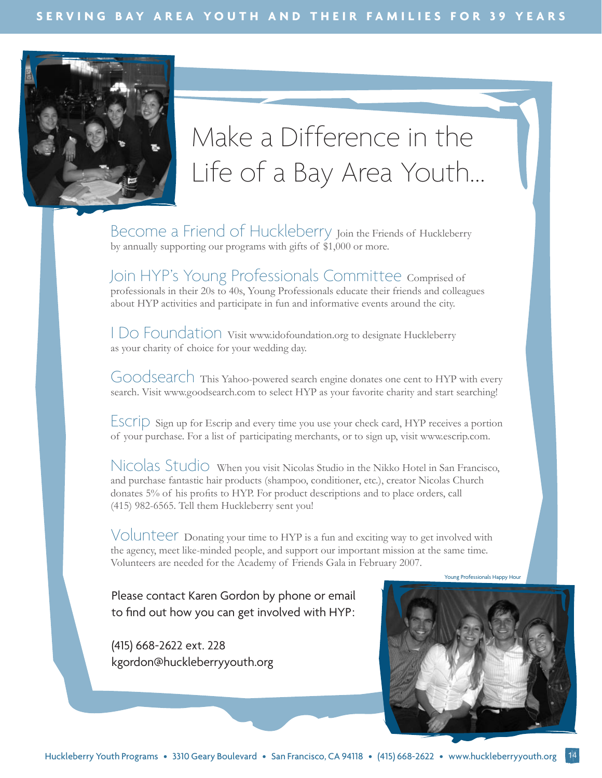

# Make a Difference in the Life of a Bay Area Youth...

Become a Friend of Huckleberry Join the Friends of Huckleberry by annually supporting our programs with gifts of \$1,000 or more.

Join HYP's Young Professionals Committee Comprised of professionals in their 20s to 40s, Young Professionals educate their friends and colleagues about HYP activities and participate in fun and informative events around the city.

I Do Foundation Visit www.idofoundation.org to designate Huckleberry as your charity of choice for your wedding day.

Goodsearch This Yahoo-powered search engine donates one cent to HYP with every search. Visit www.goodsearch.com to select HYP as your favorite charity and start searching!

Escrip Sign up for Escrip and every time you use your check card, HYP receives a portion of your purchase. For a list of participating merchants, or to sign up, visit www.escrip.com.

Nicolas Studio When you visit Nicolas Studio in the Nikko Hotel in San Francisco, and purchase fantastic hair products (shampoo, conditioner, etc.), creator Nicolas Church donates 5% of his profits to HYP. For product descriptions and to place orders, call (415) 982-6565. Tell them Huckleberry sent you!

Volunteer Donating your time to HYP is a fun and exciting way to get involved with the agency, meet like-minded people, and support our important mission at the same time. Volunteers are needed for the Academy of Friends Gala in February 2007.

Young Professionals Happy Hour

Please contact Karen Gordon by phone or email to find out how you can get involved with HYP:

(415) 668-2622 ext. 228 kgordon@huckleberryyouth.org